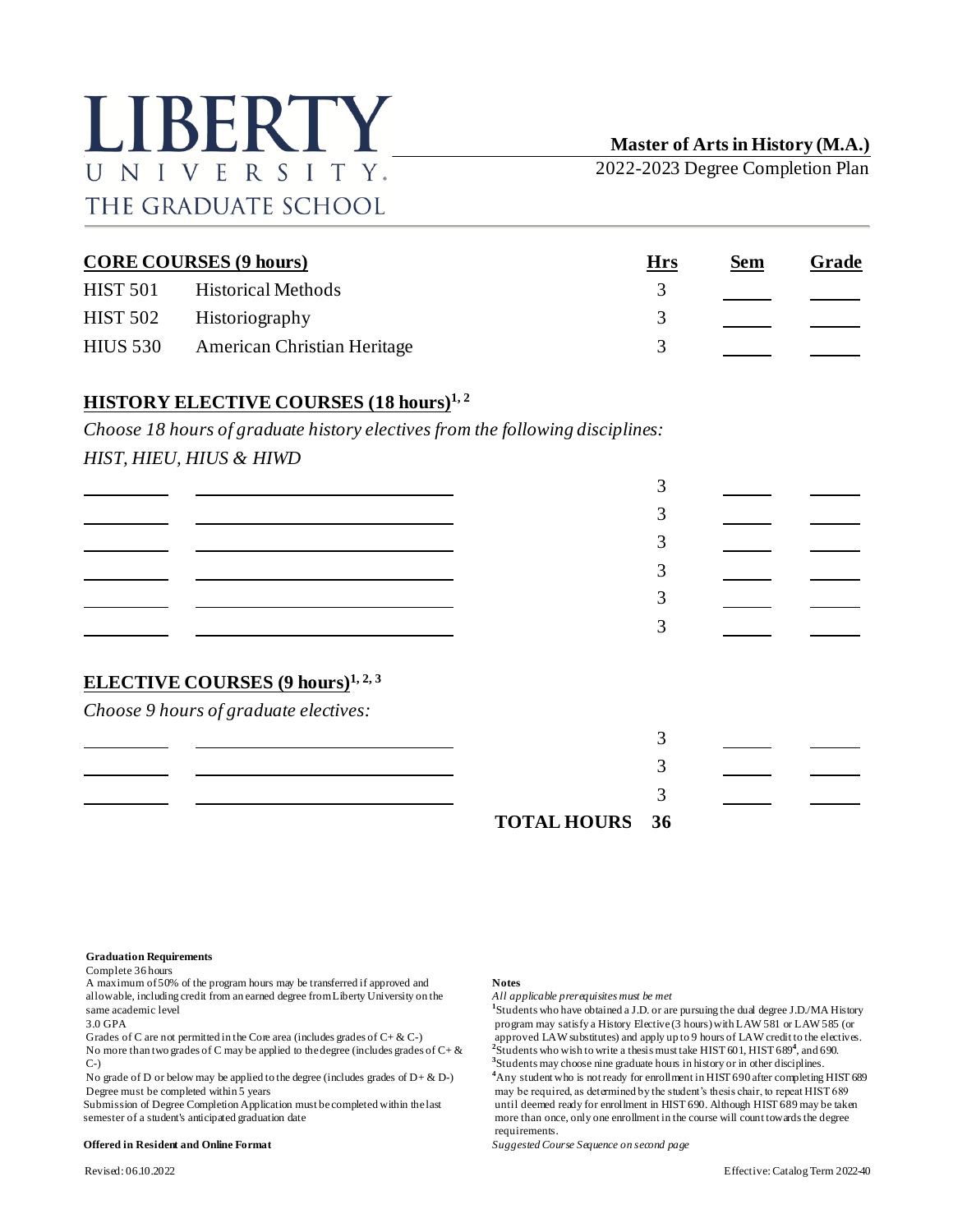# LIBERTY UNIVERSITY. THE GRADUATE SCHOOL

**Master of Arts in History (M.A.)**

2022-2023 Degree Completion Plan

| <b>CORE COURSES (9 hours)</b> |                                    | Hrs           | <u>Sem</u> | Grade |
|-------------------------------|------------------------------------|---------------|------------|-------|
| <b>HIST 501</b>               | <b>Historical Methods</b>          |               |            |       |
| <b>HIST 502</b>               | Historiography                     | $\mathcal{R}$ |            |       |
| HIUS 530                      | <b>American Christian Heritage</b> |               |            |       |

## **HISTORY ELECTIVE COURSES (18 hours)1, <sup>2</sup>**

*Choose 18 hours of graduate history electives from the following disciplines: HIST, HIEU, HIUS & HIWD*

| <b>ELECTIVE COURSES</b> (9 hours) <sup>1, 2, 3</sup><br>Choose 9 hours of graduate electives: |                    |    |  |
|-----------------------------------------------------------------------------------------------|--------------------|----|--|
|                                                                                               | <b>TOTAL HOURS</b> | 36 |  |

**Graduation Requirements**

Complete 36 hours

A maximum of 50% of the program hours may be transferred if approved and **Notes** allowable, including credit from an earned degree from Liberty University on the *All applicable prerequisites must be met* same academic level<br>  $3.0$  GPA

Grades of C are not permitted in the Core area (includes grades of C+ & C-) approved LAW substitutes) and apply up to 9 hours of LAW credit to the electives.<br>No more than two grades of C may be applied to the degree (incl Grades of C are not permitted in the Core area (includes grades of C+  $\&$  C-)<br>No more than two grades of C may be applied to the degree (includes grades of C+  $\&$ C-)

No grade of D or below may be applied to the degree (includes grades of  $D + \& D$ -)

### **Offered in Resident and Online Format** *Suggested Course Sequence on second page*

<sup>1</sup>Students who have obtained a J.D. or are pursuing the dual degree J.D./MA History program may satisfy a History Elective (3 hours) with LAW 581 or LAW 585 (or **3** Students may choose nine graduate hours in history or in other disciplines. **<sup>4</sup>**Any student who is not ready for enrollment in HIST 690 after completing HIST 689 Degree must be completed within 5 years may be required, as determined by the student's thesis chair, to repeat HIST 689 may be takentless chair, to repeat HIST 689 may be takentless chair, to repeat HIST 689 may be takent Submission of Degree Completion Application must be completed within the last until deemed ready for enrollment in HIST 690. Although HIST 689 may be taken semester of a student's anticipated graduation date exception of t more than once, only one enrollment in the course will count towards the degree requirements.